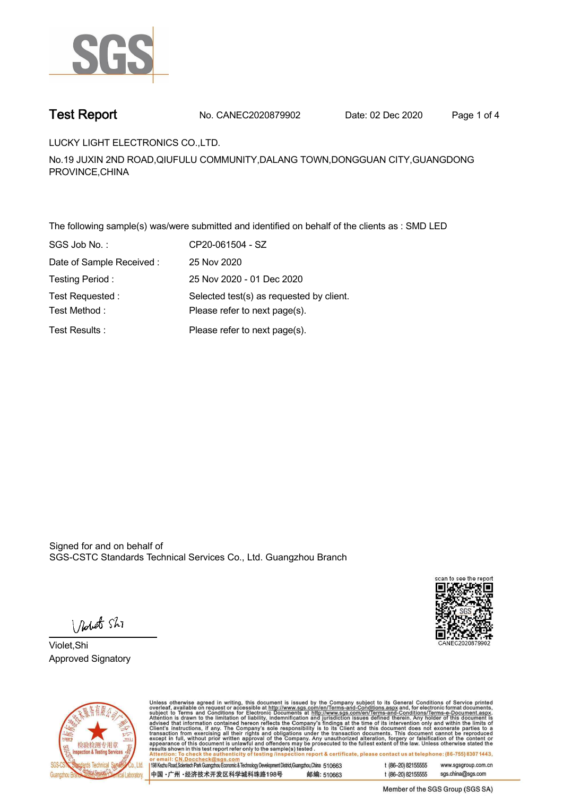

**Test Report. No. CANEC2020879902 Date: 02 Dec 2020. Page 1 of 4.**

**LUCKY LIGHT ELECTRONICS CO.,LTD. .**

**No.19 JUXIN 2ND ROAD,QIUFULU COMMUNITY,DALANG TOWN,DONGGUAN CITY,GUANGDONG PROVINCE,CHINA**

**The following sample(s) was/were submitted and identified on behalf of the clients as : SMD LED . SGS Job No. : CP20-061504 - SZ. Date of Sample Received : . 25 Nov 2020. Testing Period :. 25 Nov 2020 - 01 Dec 2020 . Test Requested :. Selected test(s) as requested by client. . Please refer to next page(s). . Please refer to next page(s).**<br> **Please refer to next page(s).**<br> **Please refer to next page(s).** 

Signed for and on behalf of SGS-CSTC Standards Technical Services Co., Ltd. Guangzhou Branch.



Vedet Shi

**Violet,Shi. Approved Signatory .**



Unless otherwise agreed in writing, this document is issued by the Company subject to its General Conditions of Service printed<br>overleaf, available on request or accessible at http://www.sgs.com/en/Terms-and-Conditions.as report & certificate, please contact us at telephone: (86-755) 8307 1443,

198 Kezhu Road, Scientech Park Guangzhou Economic & Technology Development District, Guangzhou, China 510663 中国·广州·经济技术开发区科学城科珠路198号 邮编: 510663

t (86-20) 82155555 www.sasaroup.com.cn

t (86-20) 82155555 sgs.china@sgs.com

Member of the SGS Group (SGS SA)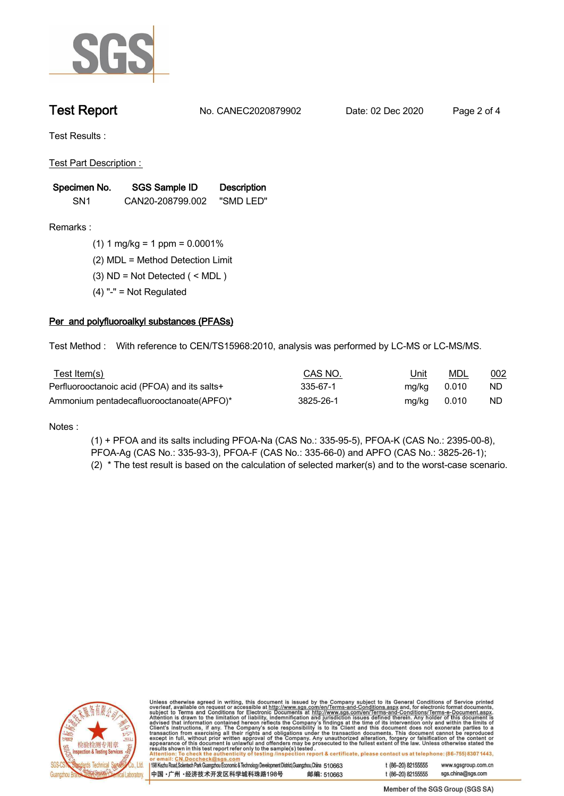

**Test Report. No. CANEC2020879902 Date: 02 Dec 2020. Page 2 of 4.**

**Test Results :.**

**Test Part Description : .**

| Specimen No.    | SGS Sample ID    | <b>Description</b> |  |
|-----------------|------------------|--------------------|--|
| SN <sub>1</sub> | CAN20-208799.002 | "SMD LED"          |  |

- **Remarks :.(1) 1 mg/kg = 1 ppm = 0.0001% .**
	- **(2) MDL = Method Detection Limit .**
	- **(3) ND = Not Detected ( < MDL ) .**
	- **(4) "-" = Not Regulated .**

## **Per and polyfluoroalkyl substances (PFASs).**

**Test Method :. With reference to CEN/TS15968:2010, analysis was performed by LC-MS or LC-MS/MS. .**

| <u>Test Item(s)</u>                          | CAS NO.   | <u>Unit</u> | <u>MDL</u> | 002 |
|----------------------------------------------|-----------|-------------|------------|-----|
| Perfluorooctanoic acid (PFOA) and its salts+ | 335-67-1  | mg/kg 0.010 |            | ND. |
| Ammonium pentadecafluorooctanoate(APFO)*     | 3825-26-1 | mg/kg       | 0.010      | ND. |

**Notes :.**

**(1) + PFOA and its salts including PFOA-Na (CAS No.: 335-95-5), PFOA-K (CAS No.: 2395-00-8), PFOA-Ag (CAS No.: 335-93-3), PFOA-F (CAS No.: 335-66-0) and APFO (CAS No.: 3825-26-1); (2) \* The test result is based on the calculation of selected marker(s) and to the worst-case scenario. .**



Unless otherwise agreed in writing, this document is issued by the Company subject to its General Conditions of Service printed<br>overleaf, available on request or accessible at http://www.sgs.com/en/Terms-and-Conditions.asp report & certificate, please contact us at telephone: (86-755) 8307 1443,

198 Kezhu Road, Scientech Park Guangzhou Economic & Technology Development District, Guangzhou, China 510663 1 (86-20) 82155555 中国·广州·经济技术开发区科学城科珠路198号 邮编: 510663

www.sasaroup.com.cn t (86-20) 82155555 sgs.china@sgs.com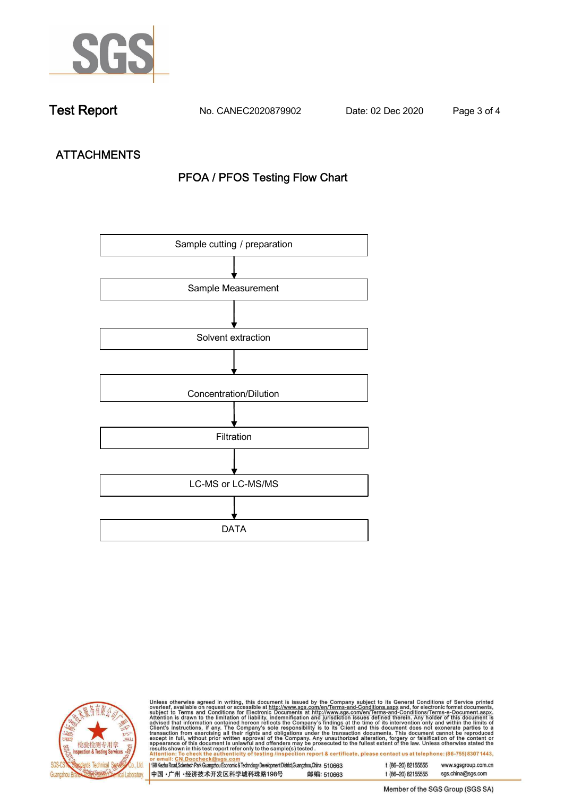

**Test Report. No. CANEC2020879902 Date: 02 Dec 2020. Page 3 of 4.**

# **ATTACHMENTS PFOA / PFOS Testing Flow Chart**





Unless otherwise agreed in writing, this document is issued by the Company subject to its General Conditions of Service printed<br>overleaf, available on request or accessible at http://www.sgs.com/en/Terms-and-Conditions.as tion report & certificate, please contact us at telephone: (86-755) 8307 1443,

198 Kezhu Road, Scientech Park Guangzhou Economic & Technology Development District, Guangzhou, China 510663 中国·广州·经济技术开发区科学城科珠路198号 邮编: 510663 t (86-20) 82155555 www.sasaroup.com.cn t (86-20) 82155555 sgs.china@sgs.com

Member of the SGS Group (SGS SA)